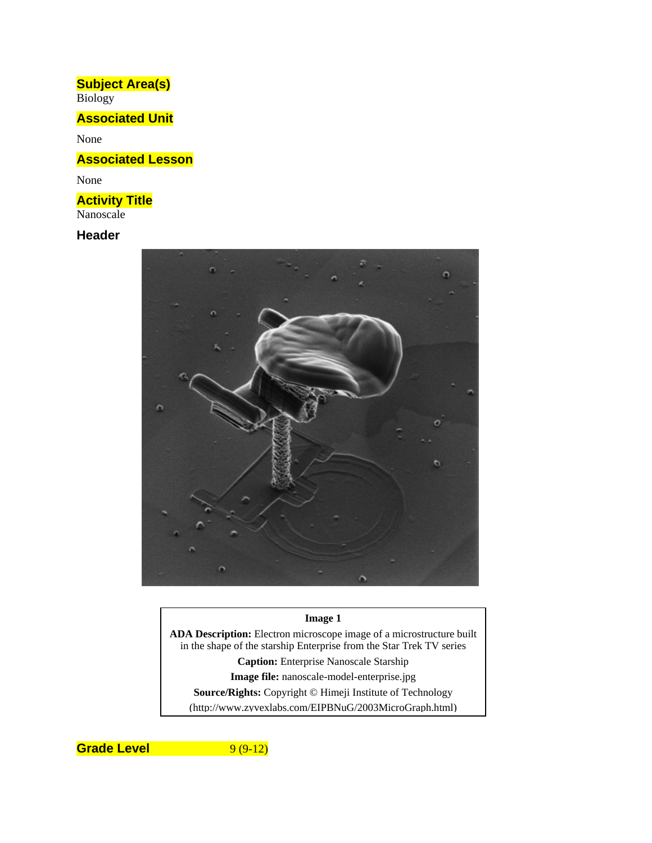# **Subject Area(s)**

Biology

## **Associated Unit**

None

## **Associated Lesson**

None

## **Activity Title**

Nanoscale

### **Header**



#### **Image 1**

**ADA Description:** Electron microscope image of a microstructure built in the shape of the starship Enterprise from the Star Trek TV series **Caption:** Enterprise Nanoscale Starship **Image file:** nanoscale-model-enterprise.jpg **Source/Rights:** Copyright © Himeji Institute of Technology (http://www.zyvexlabs.com/EIPBNuG/2003MicroGraph.html)

**Grade Level** 9 (9-12)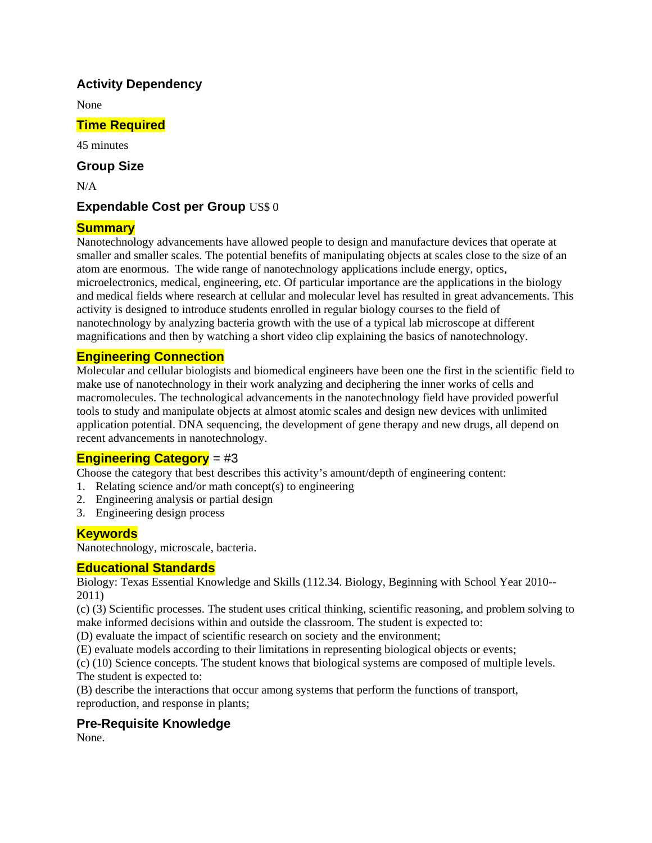### **Activity Dependency**

None

### **Time Required**

45 minutes

### **Group Size**

 $N/A$ 

### **Expendable Cost per Group US\$ 0**

### **Summary**

Nanotechnology advancements have allowed people to design and manufacture devices that operate at smaller and smaller scales. The potential benefits of manipulating objects at scales close to the size of an atom are enormous. The wide range of nanotechnology applications include energy, optics, microelectronics, medical, engineering, etc. Of particular importance are the applications in the biology and medical fields where research at cellular and molecular level has resulted in great advancements. This activity is designed to introduce students enrolled in regular biology courses to the field of nanotechnology by analyzing bacteria growth with the use of a typical lab microscope at different magnifications and then by watching a short video clip explaining the basics of nanotechnology.

### **Engineering Connection**

Molecular and cellular biologists and biomedical engineers have been one the first in the scientific field to make use of nanotechnology in their work analyzing and deciphering the inner works of cells and macromolecules. The technological advancements in the nanotechnology field have provided powerful tools to study and manipulate objects at almost atomic scales and design new devices with unlimited application potential. DNA sequencing, the development of gene therapy and new drugs, all depend on recent advancements in nanotechnology.

### **Engineering Category** = #3

Choose the category that best describes this activity's amount/depth of engineering content:

- 1. Relating science and/or math concept(s) to engineering
- 2. Engineering analysis or partial design
- 3. Engineering design process

### **Keywords**

Nanotechnology, microscale, bacteria.

#### **Educational Standards**

Biology: Texas Essential Knowledge and Skills (112.34. Biology, Beginning with School Year 2010-- 2011)

(c) (3) Scientific processes. The student uses critical thinking, scientific reasoning, and problem solving to make informed decisions within and outside the classroom. The student is expected to:

(D) evaluate the impact of scientific research on society and the environment;

(E) evaluate models according to their limitations in representing biological objects or events;

(c) (10) Science concepts. The student knows that biological systems are composed of multiple levels. The student is expected to:

(B) describe the interactions that occur among systems that perform the functions of transport, reproduction, and response in plants;

### **Pre-Requisite Knowledge**

None.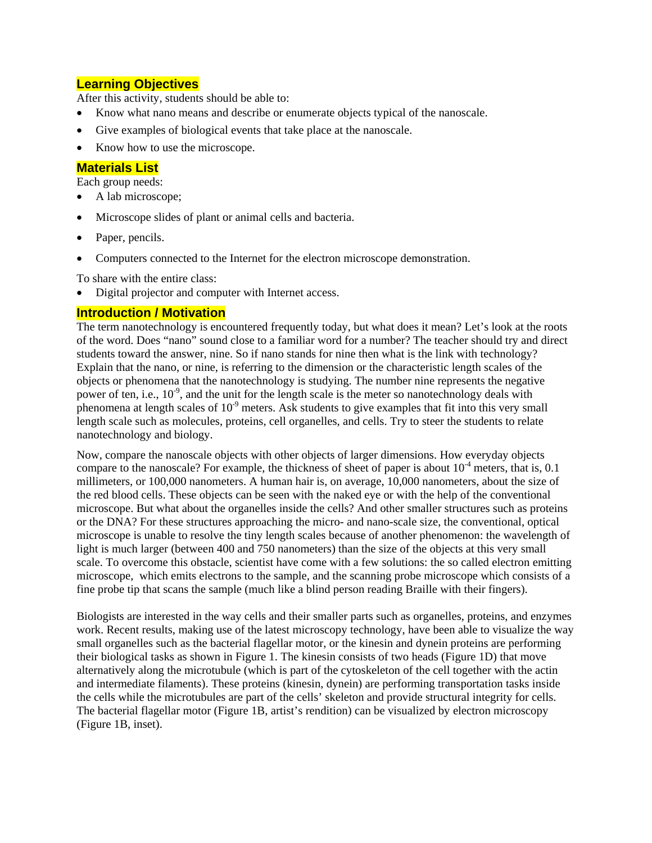### **Learning Objectives**

After this activity, students should be able to:

- Know what nano means and describe or enumerate objects typical of the nanoscale.
- Give examples of biological events that take place at the nanoscale.
- Know how to use the microscope.

#### **Materials List**

Each group needs:

- A lab microscope;
- Microscope slides of plant or animal cells and bacteria.
- Paper, pencils.
- Computers connected to the Internet for the electron microscope demonstration.

To share with the entire class:

Digital projector and computer with Internet access.

#### **Introduction / Motivation**

The term nanotechnology is encountered frequently today, but what does it mean? Let's look at the roots of the word. Does "nano" sound close to a familiar word for a number? The teacher should try and direct students toward the answer, nine. So if nano stands for nine then what is the link with technology? Explain that the nano, or nine, is referring to the dimension or the characteristic length scales of the objects or phenomena that the nanotechnology is studying. The number nine represents the negative power of ten, i.e.,  $10^{-9}$ , and the unit for the length scale is the meter so nanotechnology deals with phenomena at length scales of  $10^{-9}$  meters. Ask students to give examples that fit into this very small length scale such as molecules, proteins, cell organelles, and cells. Try to steer the students to relate nanotechnology and biology.

Now, compare the nanoscale objects with other objects of larger dimensions. How everyday objects compare to the nanoscale? For example, the thickness of sheet of paper is about  $10^{-4}$  meters, that is, 0.1 millimeters, or 100,000 nanometers. A human hair is, on average, 10,000 nanometers, about the size of the red blood cells. These objects can be seen with the naked eye or with the help of the conventional microscope. But what about the organelles inside the cells? And other smaller structures such as proteins or the DNA? For these structures approaching the micro- and nano-scale size, the conventional, optical microscope is unable to resolve the tiny length scales because of another phenomenon: the wavelength of light is much larger (between 400 and 750 nanometers) than the size of the objects at this very small scale. To overcome this obstacle, scientist have come with a few solutions: the so called electron emitting microscope, which emits electrons to the sample, and the scanning probe microscope which consists of a fine probe tip that scans the sample (much like a blind person reading Braille with their fingers).

Biologists are interested in the way cells and their smaller parts such as organelles, proteins, and enzymes work. Recent results, making use of the latest microscopy technology, have been able to visualize the way small organelles such as the bacterial flagellar motor, or the kinesin and dynein proteins are performing their biological tasks as shown in Figure 1. The kinesin consists of two heads (Figure 1D) that move alternatively along the microtubule (which is part of the cytoskeleton of the cell together with the actin and intermediate filaments). These proteins (kinesin, dynein) are performing transportation tasks inside the cells while the microtubules are part of the cells' skeleton and provide structural integrity for cells. The bacterial flagellar motor (Figure 1B, artist's rendition) can be visualized by electron microscopy (Figure 1B, inset).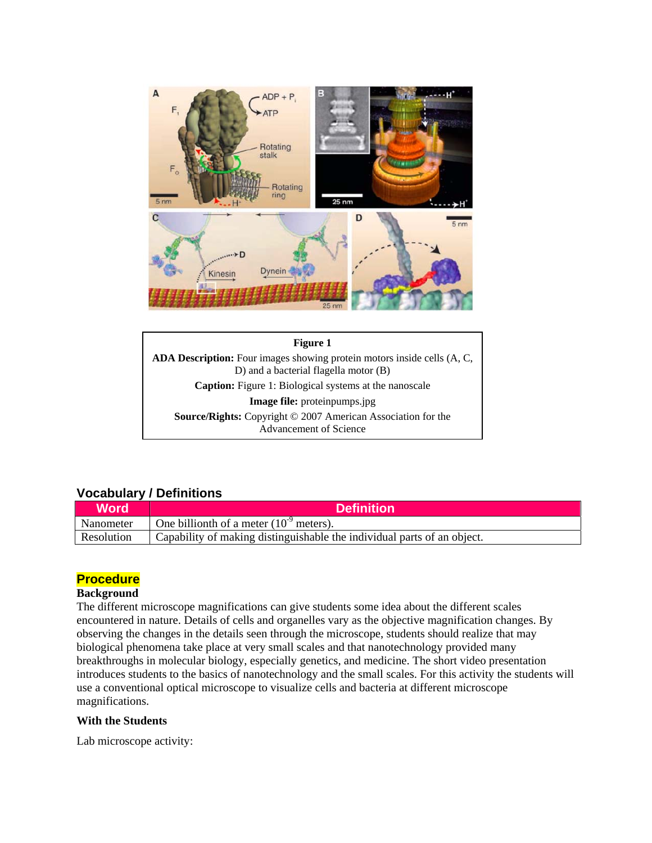



### **Vocabulary / Definitions**

| Word              | <b>Definition</b>                                                       |
|-------------------|-------------------------------------------------------------------------|
| Nanometer         | One billionth of a meter $(10^9 \text{ meters})$ .                      |
| <b>Resolution</b> | Capability of making distinguishable the individual parts of an object. |

#### **Procedure**

#### **Background**

The different microscope magnifications can give students some idea about the different scales encountered in nature. Details of cells and organelles vary as the objective magnification changes. By observing the changes in the details seen through the microscope, students should realize that may biological phenomena take place at very small scales and that nanotechnology provided many breakthroughs in molecular biology, especially genetics, and medicine. The short video presentation introduces students to the basics of nanotechnology and the small scales. For this activity the students will use a conventional optical microscope to visualize cells and bacteria at different microscope magnifications.

#### **With the Students**

Lab microscope activity: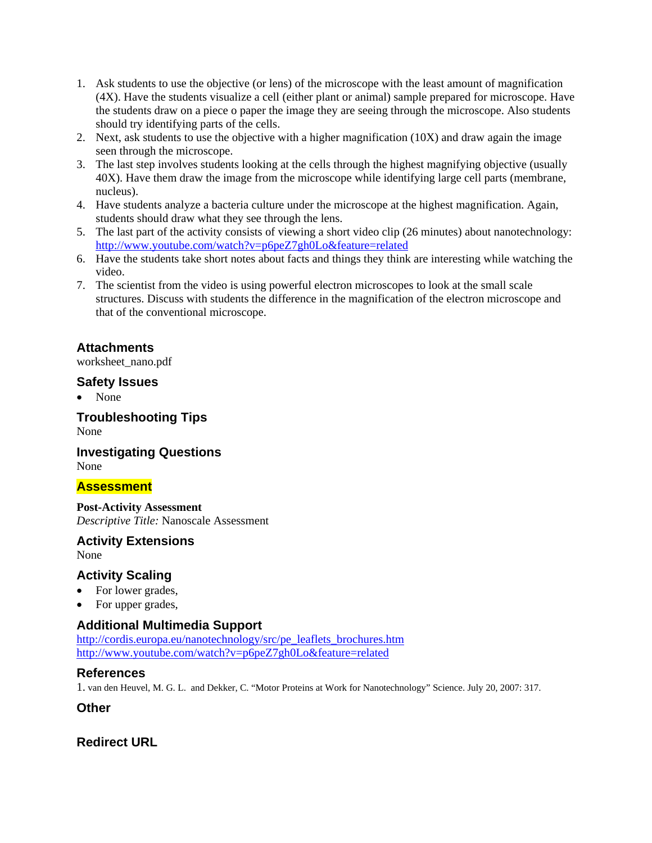- 1. Ask students to use the objective (or lens) of the microscope with the least amount of magnification (4X). Have the students visualize a cell (either plant or animal) sample prepared for microscope. Have the students draw on a piece o paper the image they are seeing through the microscope. Also students should try identifying parts of the cells.
- 2. Next, ask students to use the objective with a higher magnification (10X) and draw again the image seen through the microscope.
- 3. The last step involves students looking at the cells through the highest magnifying objective (usually 40X). Have them draw the image from the microscope while identifying large cell parts (membrane, nucleus).
- 4. Have students analyze a bacteria culture under the microscope at the highest magnification. Again, students should draw what they see through the lens.
- 5. The last part of the activity consists of viewing a short video clip (26 minutes) about nanotechnology: http://www.youtube.com/watch?v=p6peZ7gh0Lo&feature=related
- 6. Have the students take short notes about facts and things they think are interesting while watching the video.
- 7. The scientist from the video is using powerful electron microscopes to look at the small scale structures. Discuss with students the difference in the magnification of the electron microscope and that of the conventional microscope.

### **Attachments**

worksheet\_nano.pdf

#### **Safety Issues**

• None

**Troubleshooting Tips**  None

#### **Investigating Questions**  None

#### **Assessment**

**Post-Activity Assessment**  *Descriptive Title:* Nanoscale Assessment

#### **Activity Extensions**

None

#### **Activity Scaling**

- For lower grades,
- For upper grades,

### **Additional Multimedia Support**

http://cordis.europa.eu/nanotechnology/src/pe\_leaflets\_brochures.htm http://www.youtube.com/watch?v=p6peZ7gh0Lo&feature=related

#### **References**

1. van den Heuvel, M. G. L. and Dekker, C. "Motor Proteins at Work for Nanotechnology" Science. July 20, 2007: 317.

**Other** 

#### **Redirect URL**